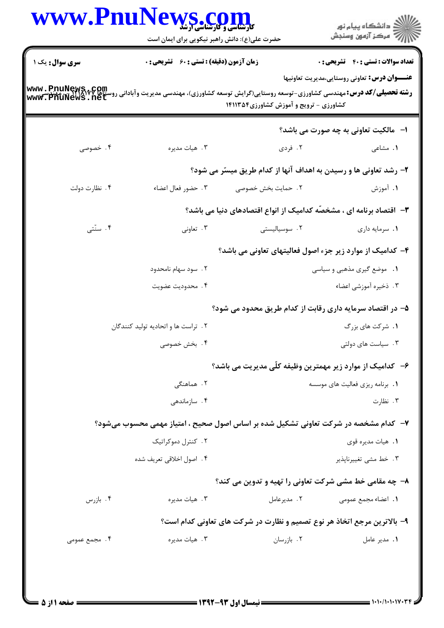|                | WWW.PnuNews.com<br>حضرت علی(ع): دانش راهبر نیکویی برای ایمان است |                                                                                                                                                                                             | ڪ دانشڪاه پيا <sub>م</sub> نور<br>∕7 مرڪز آزمون وسنڊش |
|----------------|------------------------------------------------------------------|---------------------------------------------------------------------------------------------------------------------------------------------------------------------------------------------|-------------------------------------------------------|
| سری سوال: یک ۱ | زمان آزمون (دقیقه) : تستی : 60 ٪ تشریحی : 0                      |                                                                                                                                                                                             | <b>تعداد سوالات : تستي : 40 قشريحي : 0</b>            |
|                |                                                                  |                                                                                                                                                                                             | <b>عنـــوان درس:</b> تعاونی روستایی،مدیریت تعاونیها   |
|                |                                                                  | <b>رشته تحصیلی/کد درس:</b> مهندسی کشاورزی-توسعه روستایی(گرایش توسعه کشاورزی)، مهندسی مدیریت وآبادانی روستاها www . PnuNews<br>www . PnuNews . net<br>کشاورزی - ترویج و آموزش کشاورزی1۴۱۱۳۵۴ |                                                       |
|                |                                                                  |                                                                                                                                                                                             | <b>ا- مالکیت تعاونی به چه صورت می باشد؟</b>           |
| ۰۴ خصوصی       | ۰۳ هيات مديره                                                    | ۰۲ فردی                                                                                                                                                                                     | ۰۱ مشاعی                                              |
|                |                                                                  | ۲- رشد تعاونی ها و رسیدن به اهداف آنها از کدام طریق میسّر می شود؟                                                                                                                           |                                                       |
| ۰۴ نظارت دولت  | ۰۳ حضور فعال اعضاء                                               | ٢. حمايت بخش خصوصي                                                                                                                                                                          | ۱. آموزش                                              |
|                |                                                                  | <b>۳</b> – اقتصاد برنامه ای ، مشخصّه کدامیک از انواع اقتصادهای دنیا می باشد؟                                                                                                                |                                                       |
| ۰۴ سنّتى       | ۰۳ تعاونی                                                        | ۲. سوسیالیستی                                                                                                                                                                               | ٠١. سرمايه داري                                       |
|                |                                                                  | ۴– کدامیک از موارد زیر جزء اصول فعالیتهای تعاونی می باشد؟                                                                                                                                   |                                                       |
|                | ۲. سود سهام نامحدود                                              |                                                                                                                                                                                             | ۰۱ موضع گیری مذهبی و سیاسی                            |
|                | ۰۴ محدودیت عضویت                                                 |                                                                                                                                                                                             | ۰۳ ذخیره آموزشی اعضاء                                 |
|                |                                                                  | ۵– در اقتصاد سرمایه داری رقابت از کدام طریق محدود می شود؟                                                                                                                                   |                                                       |
|                | ۰۲ تراست ها و اتحادیه تولید کنندگان                              |                                                                                                                                                                                             | ۰۱ شرکت های بزرگ                                      |
|                | ۰۴ بخش خصوصی                                                     |                                                                                                                                                                                             | ۰۳ سیاست های دولتی                                    |
|                |                                                                  | ۶— کدامیک از موارد زیر مهمترین وظیفه کلّی مدیریت می باشد؟                                                                                                                                   |                                                       |
|                | ۲. هماهنگی                                                       |                                                                                                                                                                                             | ۰۱. برنامه ریزی فعالیت های موسسه                      |
|                | ۰۴ سازماندهی                                                     |                                                                                                                                                                                             | ۰۳ نظارت                                              |
|                |                                                                  | ۷- کدام مشخصه در شرکت تعاونی تشکیل شده بر اساس اصول صحیح ، امتیاز مهمی محسوب میشود؟                                                                                                         |                                                       |
|                | ۰۲ کنترل دموکراتیک                                               |                                                                                                                                                                                             | ۰۱ هيات مديره قوى                                     |
|                | ۰۴ اصول اخلاقی تعریف شده                                         |                                                                                                                                                                                             | ۰۳ خط مشى تغييرناپذير                                 |
|                |                                                                  | ۸- چه مقامی خط مشی شرکت تعاونی را تهیه و تدوین می کند؟                                                                                                                                      |                                                       |
| ۰۴ بازرس       | ۰۳ هیات مدیره                                                    | ۰۲ مدیرعامل                                                                                                                                                                                 | ١. اعضاء مجمع عمومى                                   |
|                |                                                                  | ۹- بالاترین مرجع اتخاذ هر نوع تصمیم و نظارت در شرکت های تعاونی کدام است؟                                                                                                                    |                                                       |
| ۰۴ مجمع عمومی  | ۰۳ هيات مديره                                                    | ۰۲ بازرسان                                                                                                                                                                                  | ۰۱ مدیر عامل                                          |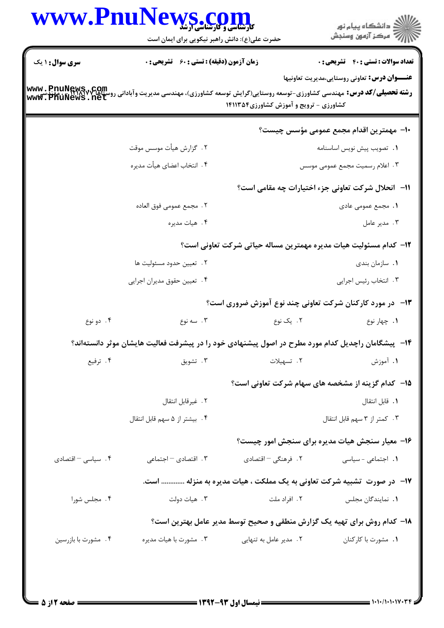| ڪ دانشڪاه پيا <sub>م</sub> نور<br>۾ سرڪز آزمون وسنڊش     |                                         | WWW.PnuNews.com<br>حضرت علی(ع): دانش راهبر نیکویی برای ایمان است                                                                                                                                                                           |                     |                        |  |
|----------------------------------------------------------|-----------------------------------------|--------------------------------------------------------------------------------------------------------------------------------------------------------------------------------------------------------------------------------------------|---------------------|------------------------|--|
| <b>تعداد سوالات : تستي : 40 قشريحي : 0</b>               |                                         | <b>زمان آزمون (دقیقه) : تستی : 60 ٪ تشریحی : 0</b>                                                                                                                                                                                         |                     | <b>سری سوال : ۱ یک</b> |  |
| <b>عنـــوان درس:</b> تعاوني روستايي،مديريت تعاونيها      | کشاورزی - ترویج و آموزش کشاورزی ۱۴۱۱۳۵۴ | <b>رشته تحصیلی/کد درس:</b> مهندسی کشاورزی-توسعه روستایی(گرایش توسعه کشاورزی)، مهندسی مدیریت وآبادانی روستاها Www . PnuNews<br>و <b>شته تحصیلی/کد درس:</b> مهندسی کشاورزی-توسعه روستایی(گرایش توسعه کشاورزی)، مهندسی مدیریت وآبادانی روستا& |                     |                        |  |
| ∙ا− مهمترین اقدام مجمع عمومی مؤسس چیست؟                  |                                         |                                                                                                                                                                                                                                            |                     |                        |  |
| ٠١ تصويب پيش نويس اساسنامه                               |                                         | ٢. گزارش هيأت موسس موقت                                                                                                                                                                                                                    |                     |                        |  |
| ۰۳ اعلام رسمیت مجمع عمومی موسس                           |                                         | ۴. انتخاب اعضای هیأت مدیره                                                                                                                                                                                                                 |                     |                        |  |
| 11- انحلال شركت تعاوني جزء اختيارات چه مقامي است؟        |                                         |                                                                                                                                                                                                                                            |                     |                        |  |
| <b>۱.</b> مجمع عمومی عادی                                |                                         | ٢ . مجمع عمومي فوق العاده                                                                                                                                                                                                                  |                     |                        |  |
| ۰۳ مدير عامل                                             |                                         | ۰۴ هيات مديره                                                                                                                                                                                                                              |                     |                        |  |
|                                                          |                                         | <b>۱۲</b> - کدام مسئولیت هیات مدیره مهمترین مساله حیاتی شرکت تعاونی است؟                                                                                                                                                                   |                     |                        |  |
| ٠١. سازمان بندي                                          |                                         | ٢. تعيين حدود مسئوليت ها                                                                                                                                                                                                                   |                     |                        |  |
| ۰۳ انتخاب رئيس اجرايي                                    |                                         | ۰۴ تعیین حقوق مدیران اجرایی                                                                                                                                                                                                                |                     |                        |  |
| ۱۳- در مورد کارکنان شرکت تعاونی چند نوع آموزش ضروری است؟ |                                         |                                                                                                                                                                                                                                            |                     |                        |  |
| ۰۱ چهار نوع                                              | ۲. یک نوع                               | ۰۳ سه نوع                                                                                                                                                                                                                                  | ۰۴ دو نوع           |                        |  |
|                                                          |                                         | ۱۴– پیشگامان راچدیل کدام مورد مطرح در اصول پیشنهادی خود را در پیشرفت فعالیت هایشان موثر دانستهاند؟                                                                                                                                         |                     |                        |  |
| ۱. آموزش                                                 | ۰۲ تسهیلات                              | ۰۳ تشویق                                                                                                                                                                                                                                   | ۰۴ ترفیع            |                        |  |
| <b>۱۵- کدام گزینه از مشخصه های سهام شرکت تعاونی است؟</b> |                                         |                                                                                                                                                                                                                                            |                     |                        |  |
| ٠١. قابل انتقال                                          |                                         | ٢. غيرقابل انتقال                                                                                                                                                                                                                          |                     |                        |  |
| ۰۳ کمتر از ۳ سهم قابل انتقال                             |                                         | ۴. بیشتر از ۵ سهم قابل انتقال                                                                                                                                                                                                              |                     |                        |  |
| ۱۶- معیار سنجش هیات مدیره برای سنجش امور چیست؟           |                                         |                                                                                                                                                                                                                                            |                     |                        |  |
| ۰۱ اجتماعی - سیاسی                                       |                                         | ۰۳ اقتصادی <sup>-</sup> اجتماعی<br>۲. فرهنگی – اقتصادی                                                                                                                                                                                     | ۰۴ سیاسی – اقتصادی  |                        |  |
|                                                          |                                         | <b>۱۷</b> - در صورت تشبیه شرکت تعاونی به یک مملکت ، هیات مدیره به منزله  است.                                                                                                                                                              |                     |                        |  |
| <b>۱.</b> نمایندگان مجلس                                 | ۰۲ افراد ملت                            | ۰۳ هيات دولت                                                                                                                                                                                                                               | ۰۴ مجلس شورا        |                        |  |
|                                                          |                                         | ۱۸– کدام روش برای تهیه یک گزارش منطقی و صحیح توسط مدیر عامل بهترین است؟                                                                                                                                                                    |                     |                        |  |
| ۰۱ مشورت با کارکنان                                      |                                         | ۰۳ مشورت با هيات مديره<br>۰۲ مدیر عامل به تنهایی                                                                                                                                                                                           | ۰۴ مشورت با بازرسين |                        |  |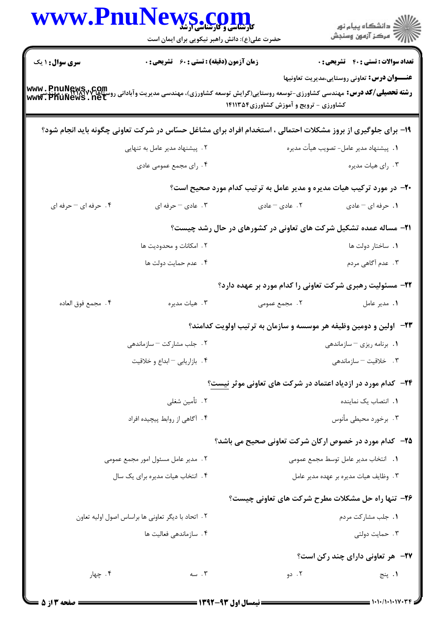| www.PnuN                           | <b>LWS.COM</b><br>حضرت علی(ع): دانش راهبر نیکویی برای ایمان است                                                                                   |                                        | ِ<br>∭ دانشڪاه پيام نور<br>∭ مرڪز آزمون وسنڊش                         |
|------------------------------------|---------------------------------------------------------------------------------------------------------------------------------------------------|----------------------------------------|-----------------------------------------------------------------------|
| <b>سری سوال : ۱ یک</b>             | <b>زمان آزمون (دقیقه) : تستی : 60 ٪ تشریحی : 0</b>                                                                                                |                                        | <b>تعداد سوالات : تستی : 40 - تشریحی : 0</b>                          |
|                                    | <b>رشته تحصیلی/کد درس:</b> مهندسی کشاورزی-توسعه روستایی(گرایش توسعه کشاورزی)، مهندسی مدیریت وآبادانی روستاها www . PnuNews<br>www . PhuNews . net | کشاورزی - ترویج و آموزش کشاورزی۱۴۱۱۳۵۴ | <b>عنـــوان درس:</b> تعاوني روستايي،مديريت تعاونيها                   |
|                                    | ۱۹- برای جلوگیری از بروز مشکلات احتمالی ، استخدام افراد برای مشاغل حسّاس در شرکت تعاونی چگونه باید انجام شود؟                                     |                                        |                                                                       |
|                                    | ۲. پیشنهاد مدیر عامل به تنهایی                                                                                                                    |                                        | 1. پيشنهاد مدير عامل- تصويب هيأت مديره                                |
|                                    | ۰۴ رای مجمع عمومی عادی                                                                                                                            |                                        | ۰۳ رای هیات مدیره                                                     |
|                                    |                                                                                                                                                   |                                        | ۲۰- در مورد ترکیب هیات مدیره و مدیر عامل به ترتیب کدام مورد صحیح است؟ |
| ۴. حرفه ای - حرفه ای               | ۰۳ مادی – حرفه ای                                                                                                                                 | ٢. عادی – عادی                         | ١. حرفه اي - عادي                                                     |
|                                    | ۲۱- مساله عمده تشکیل شرکت های تعاونی در کشورهای در حال رشد چیست؟                                                                                  |                                        |                                                                       |
|                                    | ۲. امکانات و محدودیت ها                                                                                                                           |                                        | ۰۱ ساختار دولت ها                                                     |
|                                    | ۰۴ عدم حمايت دولت ها                                                                                                                              |                                        | ۰۳ عدم آگاهی مردم                                                     |
|                                    |                                                                                                                                                   |                                        | ۲۲- مسئولیت رهبری شرکت تعاونی را کدام مورد بر عهده دارد؟              |
| ۴ . مجمع فوق العاده                | ۰۳ هيات مديره                                                                                                                                     | ۲. مجمع عمومی                          | ٠١. مدير عامل                                                         |
|                                    |                                                                                                                                                   |                                        | ۲۳– آولین و دومین وظیفه هر موسسه و سازمان به ترتیب اولویت کدامند؟     |
|                                    | ۲ . جلب مشارکت – سازماندهی                                                                                                                        |                                        | ۰۱ برنامه ریزی <sup>—</sup> سازماندهی                                 |
|                                    | ۰۴ بازاریابی - ابداع و خلاقیت                                                                                                                     |                                        | ۰۳ خلاقیت - سازماندهی                                                 |
|                                    |                                                                                                                                                   |                                        | <b>۲۴</b> - کدام مورد در ازدیاد اعتماد در شرکت های تعاونی موثر نیست؟  |
| ۰۲ تأمین شغلی                      |                                                                                                                                                   | 1. انتصاب یک نماینده                   |                                                                       |
|                                    | ۰۴ آگاهی از روابط پیچیده افراد                                                                                                                    |                                        | ۰۳ برخورد محیطی مأنوس                                                 |
|                                    |                                                                                                                                                   |                                        | <b>۳۵</b> - کدام مورد در خصوص ارکان شرکت تعاونی صحیح می باشد؟         |
| ٢. مدير عامل مسئول امور مجمع عمومي |                                                                                                                                                   |                                        | 1. انتخاب مدير عامل توسط مجمع عمومي                                   |
|                                    | ۰۴ انتخاب هیات مدیره برای یک سال                                                                                                                  |                                        | ۰۳ وظایف هیات مدیره بر عهده مدیر عامل                                 |
|                                    |                                                                                                                                                   |                                        | <b>۲۶- تنها راه حل مشکلات مطرح شرکت های تعاونی چیست؟</b>              |
|                                    | ٢. اتحاد با ديگر تعاوني ها براساس اصول اوليه تعاون                                                                                                |                                        | ۰۱ جلب مشاركت مردم                                                    |
|                                    | ۰۴ سازماندهی فعالیت ها                                                                                                                            |                                        | ۰۳ حمایت دولتی                                                        |
|                                    |                                                                                                                                                   |                                        | <b>۲۷-</b> هر تعاونی دارای چند رکن است؟                               |
| ۰۴ چهار                            | $\cdots$ سه                                                                                                                                       | ۰۲ دو                                  | ۰۱ پنج                                                                |
|                                    |                                                                                                                                                   |                                        |                                                                       |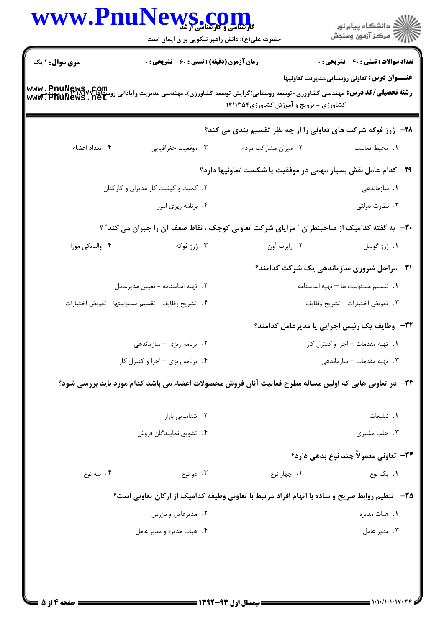|                                   | www.PnuNews.con<br><b>کارشناسی و کارشناسی ارشد</b><br>حضرت علی(ع): دانش راهبر نیکویی برای ایمان است |                                                                                                                                                                                              | ڪ دانشڪاه پيا <sub>م</sub> نور<br>ر <i>7</i> مرڪز آزمون وسنڊش |
|-----------------------------------|-----------------------------------------------------------------------------------------------------|----------------------------------------------------------------------------------------------------------------------------------------------------------------------------------------------|---------------------------------------------------------------|
| <b>سری سوال : ۱ یک</b>            | <b>زمان آزمون (دقیقه) : تستی : 60 ٪ تشریحی : 0</b>                                                  |                                                                                                                                                                                              | <b>تعداد سوالات : تستي : 40 - تشريحي : 0</b>                  |
|                                   |                                                                                                     | <b>رشته تحصیلی/کد درس: مهندسی کشاورزی-توسعه روستایی(گرایش توسعه کشاورزی)، مهندسی مدیریت وآبادانی روستاها Www . PnuNews<br/>www . PnuNews . net</b><br>کشاورزی - ترویج و آموزش کشاورزی1۴۱۱۳۵۴ | <b>عنـــوان درس:</b> تعاونی روستایی،مدیریت تعاونیها           |
|                                   |                                                                                                     | <b>۲۸</b> - ژرژ فوکه شرکت های تعاونی را از چه نظر تقسیم بندی می کند؟                                                                                                                         |                                                               |
| ۴. تعداد اعضاء                    | ۰۳ موقعیت جغرافیایی                                                                                 | ۰۲ میزان مشارکت مردم                                                                                                                                                                         | ٠١. محيط فعاليت                                               |
|                                   |                                                                                                     | ۲۹– کدام عامل نقش بسیار مهمی در موفقیت یا شکست تعاونیها دارد؟                                                                                                                                |                                                               |
|                                   | ۰۲ کمیت و کیفیت کار مدیران و کارکنان                                                                |                                                                                                                                                                                              | ۰۱ سازماندهی                                                  |
|                                   | ۰۴ برنامه ریزی امور                                                                                 |                                                                                                                                                                                              | ۰۳ نظارت دولتی                                                |
|                                   |                                                                                                     | ۳۰– به گفته کدامیک از صاحبنظران ″ مزایای شرکت تعاونی کوچک ، نقاط ضعف آن را جبران می کند″ ؟                                                                                                   |                                                               |
| ۰۴ والدیکی مورا                   | ۰۳ ژرژ فوکه                                                                                         | ۰۲ رابرت آون                                                                                                                                                                                 | ۰۱ ژرژ گوسل                                                   |
|                                   |                                                                                                     |                                                                                                                                                                                              | ۳۱- مراحل ضروری سازماندهی یک شرکت کدامند؟                     |
|                                   | ٢. تهيه اساسنامه - تعيين مديرعامل                                                                   |                                                                                                                                                                                              | ٠١. تقسيم مسئوليت ها - تهيه اساسنامه                          |
|                                   | ۴. تشريح وظايف - تقسيم مسئوليتها - تعويض اختيارات                                                   |                                                                                                                                                                                              | ٠٣ تعويض اختيارات - تشريح وظايف                               |
|                                   |                                                                                                     |                                                                                                                                                                                              | ۳۲-۔ وظایف یک رئیس اجرایی یا مدیرعامل کدامند؟                 |
|                                   | ۰۲ برنامه ریزی - سازماندهی                                                                          |                                                                                                                                                                                              | ٠١. تهيه مقدمات - اجرا و كنترل كار                            |
| ۰۴ برنامه ریزی - اجرا و کنترل کار |                                                                                                     |                                                                                                                                                                                              | ۰۳ تهیه مقدمات – سازماندهی                                    |
|                                   |                                                                                                     | ۳۳- در تعاونی هایی که اولین مساله مطرح فعالیت آنان فروش محصولات اعضاء می باشد کدام مورد باید بررسی شود؟                                                                                      |                                                               |
| ٢. شناسايي بازار                  |                                                                                                     |                                                                                                                                                                                              | ٠. تبليغات                                                    |
| ۰۴ تشویق نمایندگان فروش           |                                                                                                     |                                                                                                                                                                                              | ۰۳ جلب مشتری                                                  |
|                                   |                                                                                                     |                                                                                                                                                                                              | 34- تعاوني معمولاً چند نوع بدهي دارد؟                         |
| ۰۴ سه نوع                         | ۰۳ دو نوع                                                                                           | ۰۲ چهار نوع                                                                                                                                                                                  | ۰۱ یک نوع                                                     |
|                                   |                                                                                                     | ۳۵–۔ تنظیم روابط صریح و ساده با اتهام افراد مرتبط با تعاونی وظیفه کدامیک از ارکان تعاونی است؟                                                                                                |                                                               |
|                                   | ۰۲ مدیرعامل و بازرس                                                                                 |                                                                                                                                                                                              | ٠١. هيات مديره                                                |
|                                   | ۰۴ هيات مديره و مدير عامل                                                                           |                                                                                                                                                                                              | ۰۳ مدير عامل                                                  |